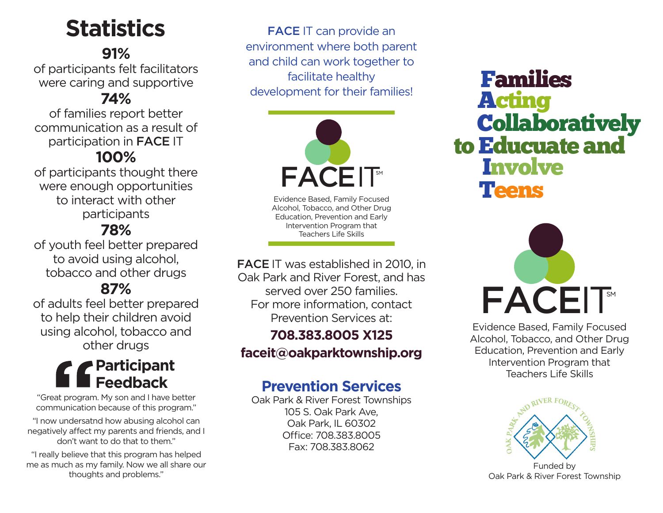# **Statistics**

## **91%**

of participants felt facilitators were caring and supportive

### **74%**

of families report better communication as a result of participation in FACE IT

#### **100%**

of participants thought there were enough opportunities to interact with other participants **78%**

of youth feel better prepared to avoid using alcohol, tobacco and other drugs

## **87%**

of adults feel better prepared to help their children avoid using alcohol, tobacco and other drugs

## **Participant Feedback**

"Great program. My son and I have better communication because of this program."

"I now undersatnd how abusing alcohol can negatively affect my parents and friends, and I don't want to do that to them."

"I really believe that this program has helped me as much as my family. Now we all share our thoughts and problems."

FACE IT can provide an environment where both parent and child can work together to facilitate healthy development for their families!



Evidence Based, Family Focused Alcohol, Tobacco, and Other Drug Education, Prevention and Early Intervention Program that Teachers Life Skills

FACE IT was established in 2010, in Oak Park and River Forest, and has served over 250 families. For more information, contact Prevention Services at:

#### **708.383.8005 X125 faceit@oakparktownship.org**

### **Prevention Services**

Oak Park & River Forest Townships 105 S. Oak Park Ave, Oak Park, IL 60302 Office: 708.383.8005 Fax: 708.383.8062

## Families Acting **Collaboratively** to Educuate and Involve Teens



Evidence Based, Family Focused Alcohol, Tobacco, and Other Drug Education, Prevention and Early Intervention Program that Teachers Life Skills



Funded by Oak Park & River Forest Township